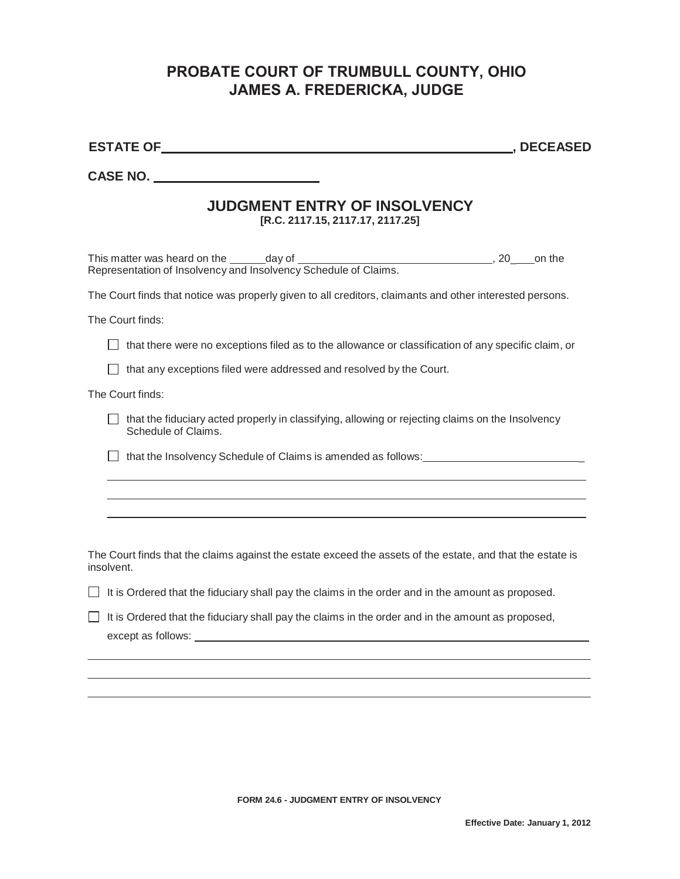## **PROBATE COURT OF TRUMBULL COUNTY, OHIO JAMES A. FREDERICKA, JUDGE**

|                                                                                                                                                                                                                                                                                                                                     | , DECEASED |
|-------------------------------------------------------------------------------------------------------------------------------------------------------------------------------------------------------------------------------------------------------------------------------------------------------------------------------------|------------|
| CASE NO.                                                                                                                                                                                                                                                                                                                            |            |
| <b>JUDGMENT ENTRY OF INSOLVENCY</b><br>[R.C. 2117.15, 2117.17, 2117.25]                                                                                                                                                                                                                                                             |            |
| Representation of Insolvency and Insolvency Schedule of Claims.                                                                                                                                                                                                                                                                     |            |
| The Court finds that notice was properly given to all creditors, claimants and other interested persons.                                                                                                                                                                                                                            |            |
| The Court finds:                                                                                                                                                                                                                                                                                                                    |            |
| that there were no exceptions filed as to the allowance or classification of any specific claim, or                                                                                                                                                                                                                                 |            |
| that any exceptions filed were addressed and resolved by the Court.                                                                                                                                                                                                                                                                 |            |
| The Court finds:                                                                                                                                                                                                                                                                                                                    |            |
| that the fiduciary acted properly in classifying, allowing or rejecting claims on the Insolvency<br>Schedule of Claims.                                                                                                                                                                                                             |            |
| that the Insolvency Schedule of Claims is amended as follows:                                                                                                                                                                                                                                                                       |            |
|                                                                                                                                                                                                                                                                                                                                     |            |
|                                                                                                                                                                                                                                                                                                                                     |            |
|                                                                                                                                                                                                                                                                                                                                     |            |
| The Court finds that the claims against the estate exceed the assets of the estate, and that the estate is<br>insolvent.                                                                                                                                                                                                            |            |
| It is Ordered that the fiduciary shall pay the claims in the order and in the amount as proposed.                                                                                                                                                                                                                                   |            |
| It is Ordered that the fiduciary shall pay the claims in the order and in the amount as proposed,<br>except as follows: Letter and the second service of the service of the service of the service of the service of the service of the service of the service of the service of the service of the service of the service of the s |            |
|                                                                                                                                                                                                                                                                                                                                     |            |